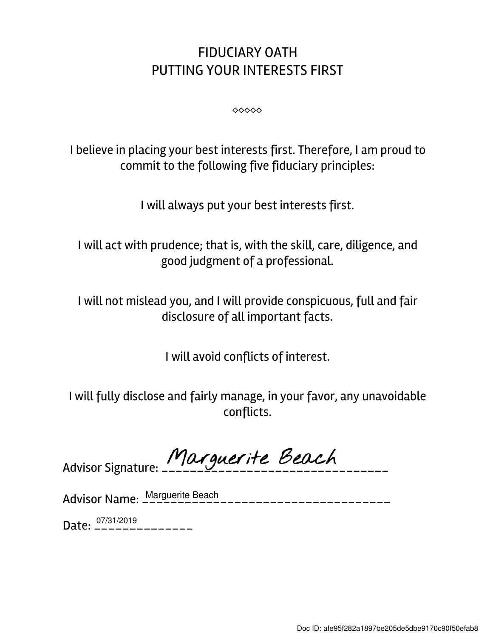## FIDUCIARY OATH PUTTING YOUR INTERESTS FIRST

⬥⬥⬥⬥⬥

I believe in placing your best interests first. Therefore, I am proud to commit to the following five fiduciary principles:

I will always put your best interests first.

I will act with prudence; that is, with the skill, care, diligence, and good judgment of a professional.

I will not mislead you, and I will provide conspicuous, full and fair disclosure of all important facts.

I will avoid conflicts of interest.

I will fully disclose and fairly manage, in your favor, any unavoidable conflicts.

Advisor Signature: Marguerite Beach

Advisor Name: \_\_\_\_\_\_\_\_\_\_\_\_\_\_\_\_\_\_\_\_\_\_\_\_\_\_\_\_\_\_\_\_\_\_\_ Marguerite Beach

Date: \_\_\_\_\_\_\_\_\_\_\_\_\_\_ 07/31/2019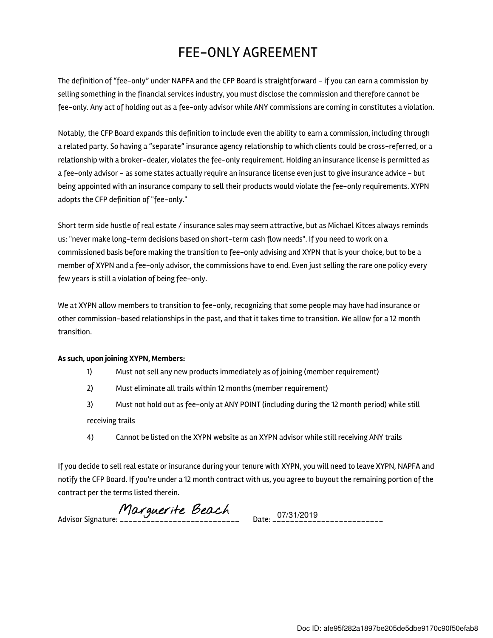## FEE-ONLY AGREEMENT

The definition of "fee-only" under NAPFA and the CFP Board is straightforward - if you can earn a commission by selling something in the financial services industry, you must disclose the commission and therefore cannot be fee-only. Any act of holding out as a fee-only advisor while ANY commissions are coming in constitutes a violation.

Notably, the CFP Board expands this definition to include even the ability to earn a commission, including through a related party. So having a "separate" insurance agency relationship to which clients could be cross-referred, or a relationship with a broker-dealer, violates the fee-only requirement. Holding an insurance license is permitted as a fee-only advisor - as some states actually require an insurance license even just to give insurance advice - but being appointed with an insurance company to sell their products would violate the fee-only requirements. XYPN adopts the CFP definition of "fee-only."

Short term side hustle of real estate / insurance sales may seem attractive, but as Michael Kitces always reminds us: "never make long-term decisions based on short-term cash flow needs". If you need to work on a commissioned basis before making the transition to fee-only advising and XYPN that is your choice, but to be a member of XYPN and a fee-only advisor, the commissions have to end. Even just selling the rare one policy every few years is still a violation of being fee-only.

We at XYPN allow members to transition to fee-only, recognizing that some people may have had insurance or other commission-based relationships in the past, and that it takes time to transition. We allow for a 12 month transition.

## As such, upon joining XYPN, Members:

- 1) Must not sell any new products immediately as of joining (member requirement)
- 2) Must eliminate all trails within 12 months (member requirement)
- 3) Must not hold out as fee-only at ANY POINT (including during the 12 month period) while still receiving trails
- 4) Cannot be listed on the XYPN website as an XYPN advisor while still receiving ANY trails

If you decide to sell real estate or insurance during your tenure with XYPN, you will need to leave XYPN, NAPFA and notify the CFP Board. If you're under a 12 month contract with us, you agree to buyout the remaining portion of the contract per the terms listed therein.

Advisor Signature: \_\_\_\_\_\_\_\_\_\_\_\_\_\_\_\_\_\_\_\_\_\_\_\_\_\_\_ Date: \_\_\_\_\_\_\_\_\_\_\_\_\_\_\_\_\_\_\_\_\_\_\_\_\_ 07/31/2019